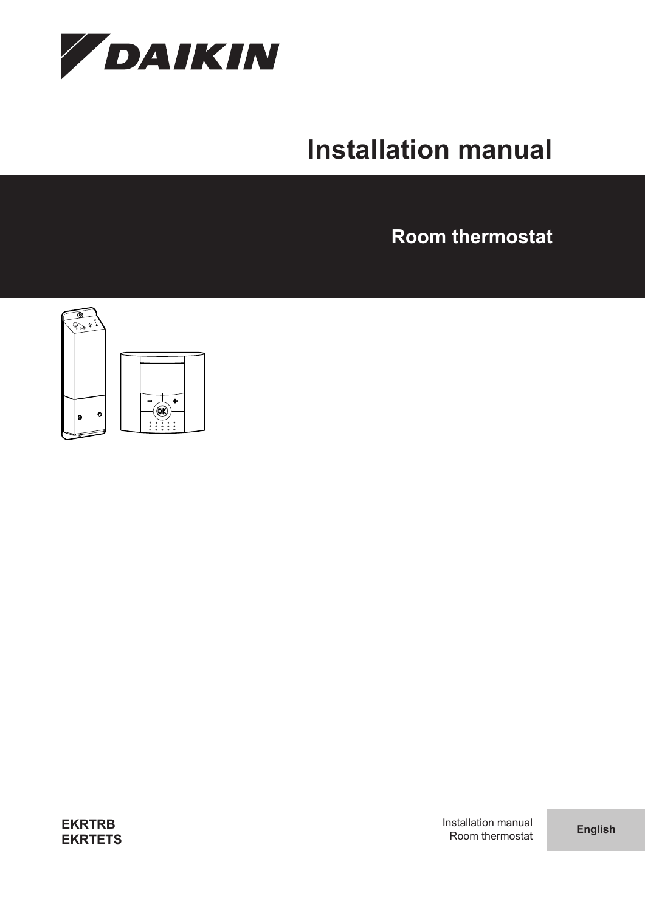

# **Installation manual**

**Room thermostat**



**EKRTRB EKRTETS** Installation manual Room thermostat **English**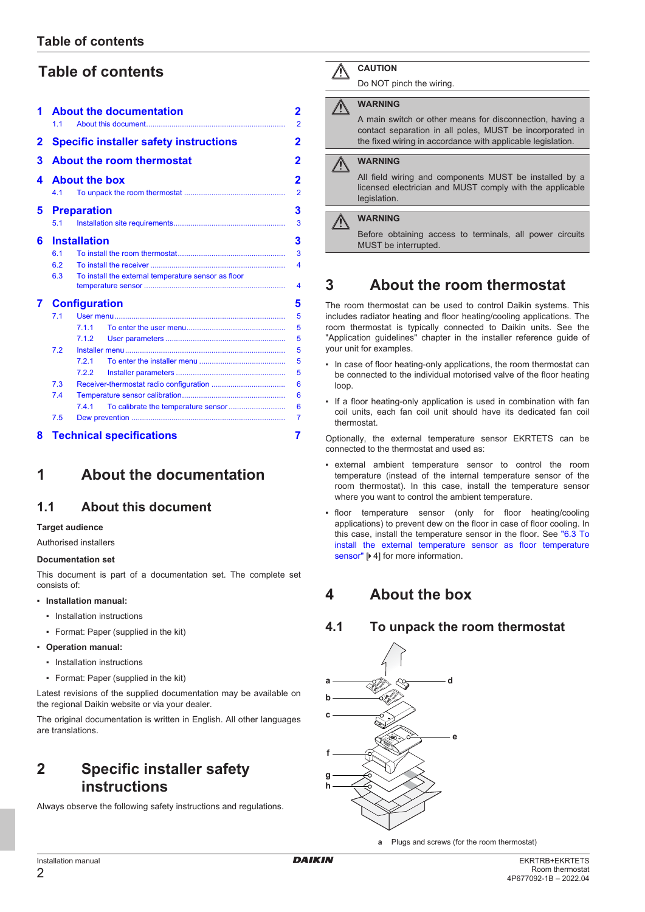# **Table of contents**

| 1 | <b>About the documentation</b><br>11                       |       |                                  | 2<br>$\overline{2}$ |  |
|---|------------------------------------------------------------|-------|----------------------------------|---------------------|--|
| 2 | <b>Specific installer safety instructions</b>              |       |                                  | 2                   |  |
| 3 |                                                            |       | <b>About the room thermostat</b> | 2                   |  |
| 4 | <b>About the box</b><br>2                                  |       |                                  |                     |  |
|   | 41                                                         |       |                                  | $\overline{2}$      |  |
| 5 | <b>Preparation</b>                                         |       |                                  |                     |  |
|   | 5.1                                                        |       |                                  | 3                   |  |
| 6 | <b>Installation</b>                                        |       |                                  |                     |  |
|   | 61                                                         |       |                                  | 3                   |  |
|   | 6.2                                                        | 4     |                                  |                     |  |
|   | To install the external temperature sensor as floor<br>6.3 |       |                                  |                     |  |
|   |                                                            |       |                                  | 4                   |  |
|   | <b>Configuration</b>                                       |       |                                  | 5                   |  |
|   | 7.1                                                        |       |                                  | 5                   |  |
|   |                                                            | 711   |                                  | 5                   |  |
|   |                                                            | 7.1.2 |                                  | 5                   |  |
|   | 7.2                                                        |       |                                  | 5                   |  |
|   |                                                            | 7.2.1 |                                  | 5                   |  |
|   |                                                            | 7.2.2 |                                  | 5                   |  |
|   | 7.3                                                        |       |                                  |                     |  |
|   | 7.4                                                        |       |                                  |                     |  |
|   |                                                            | 7.4.1 |                                  | 6                   |  |
|   | 7.5                                                        |       |                                  | 7                   |  |
| 8 |                                                            |       | <b>Technical specifications</b>  | 7                   |  |

# <span id="page-1-0"></span>**1 About the documentation**

# <span id="page-1-1"></span>**1.1 About this document**

#### **Target audience**

Authorised installers

#### **Documentation set**

This document is part of a documentation set. The complete set consists of:

#### ▪ **Installation manual:**

- Installation instructions
- Format: Paper (supplied in the kit)
- **Operation manual:**
	- Installation instructions
	- Format: Paper (supplied in the kit)

Latest revisions of the supplied documentation may be available on the regional Daikin website or via your dealer.

The original documentation is written in English. All other languages are translations.

# <span id="page-1-2"></span>**2 Specific installer safety instructions**

Always observe the following safety instructions and regulations.

### **CAUTION**

Do NOT pinch the wiring.

### **WARNING**

A main switch or other means for disconnection, having a contact separation in all poles, MUST be incorporated in the fixed wiring in accordance with applicable legislation.

#### **WARNING** ∕∖∖

All field wiring and components MUST be installed by a licensed electrician and MUST comply with the applicable legislation.

#### **WARNING** ハ

Before obtaining access to terminals, all power circuits MUST be interrupted.

# <span id="page-1-3"></span>**3 About the room thermostat**

The room thermostat can be used to control Daikin systems. This includes radiator heating and floor heating/cooling applications. The room thermostat is typically connected to Daikin units. See the "Application guidelines" chapter in the installer reference guide of your unit for examples.

- In case of floor heating-only applications, the room thermostat can be connected to the individual motorised valve of the floor heating loop.
- If a floor heating-only application is used in combination with fan coil units, each fan coil unit should have its dedicated fan coil thermostat.

Optionally, the external temperature sensor EKRTETS can be connected to the thermostat and used as:

- external ambient temperature sensor to control the room temperature (instead of the internal temperature sensor of the room thermostat). In this case, install the temperature sensor where you want to control the ambient temperature.
- floor temperature sensor (only for floor heating/cooling applications) to prevent dew on the floor in case of floor cooling. In this case, install the temperature sensor in the floor. See ["6.3 To](#page-3-1) [install the external temperature sensor as floor temperature](#page-3-1) [sensor" \[](#page-3-1) $\blacktriangleright$  [4](#page-3-1)] for more information.

# <span id="page-1-4"></span>**4 About the box**

### <span id="page-1-5"></span>**4.1 To unpack the room thermostat**



**a** Plugs and screws (for the room thermostat)

Installation manual 2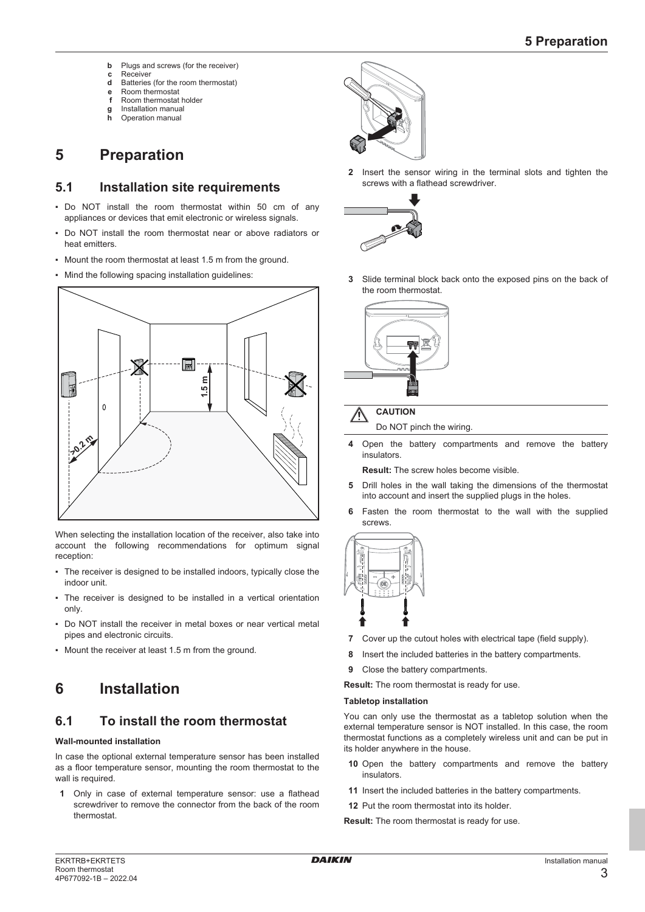- **b** Plugs and screws (for the receiver)
- **c** Receiver
- **d** Batteries (for the room thermostat)
- **e** Room thermostat<br>**f** Room thermostat **f** Room thermostat holder
- **g** Installation manual
- **h** Operation manual

# <span id="page-2-0"></span>**5 Preparation**

### <span id="page-2-1"></span>**5.1 Installation site requirements**

- Do NOT install the room thermostat within 50 cm of any appliances or devices that emit electronic or wireless signals.
- Do NOT install the room thermostat near or above radiators or heat emitters.
- Mount the room thermostat at least 1.5 m from the ground.
- Mind the following spacing installation guidelines:



When selecting the installation location of the receiver, also take into account the following recommendations for optimum signal reception:

- The receiver is designed to be installed indoors, typically close the indoor unit.
- The receiver is designed to be installed in a vertical orientation only.
- Do NOT install the receiver in metal boxes or near vertical metal pipes and electronic circuits.
- Mount the receiver at least 1.5 m from the ground.

# <span id="page-2-2"></span>**6 Installation**

# <span id="page-2-3"></span>**6.1 To install the room thermostat**

#### **Wall-mounted installation**

In case the optional external temperature sensor has been installed as a floor temperature sensor, mounting the room thermostat to the wall is required.

**1** Only in case of external temperature sensor: use a flathead screwdriver to remove the connector from the back of the room thermostat.



**2** Insert the sensor wiring in the terminal slots and tighten the screws with a flathead screwdriver.



**3** Slide terminal block back onto the exposed pins on the back of the room thermostat.



# **CAUTION**

- Do NOT pinch the wiring.
- **4** Open the battery compartments and remove the battery insulators.

**Result:** The screw holes become visible.

- **5** Drill holes in the wall taking the dimensions of the thermostat into account and insert the supplied plugs in the holes.
- **6** Fasten the room thermostat to the wall with the supplied screws.



- **7** Cover up the cutout holes with electrical tape (field supply).
- **8** Insert the included batteries in the battery compartments.
- **9** Close the battery compartments.

**Result:** The room thermostat is ready for use.

#### **Tabletop installation**

You can only use the thermostat as a tabletop solution when the external temperature sensor is NOT installed. In this case, the room thermostat functions as a completely wireless unit and can be put in its holder anywhere in the house.

- **10** Open the battery compartments and remove the battery insulators.
- **11** Insert the included batteries in the battery compartments.
- **12** Put the room thermostat into its holder.

**Result:** The room thermostat is ready for use.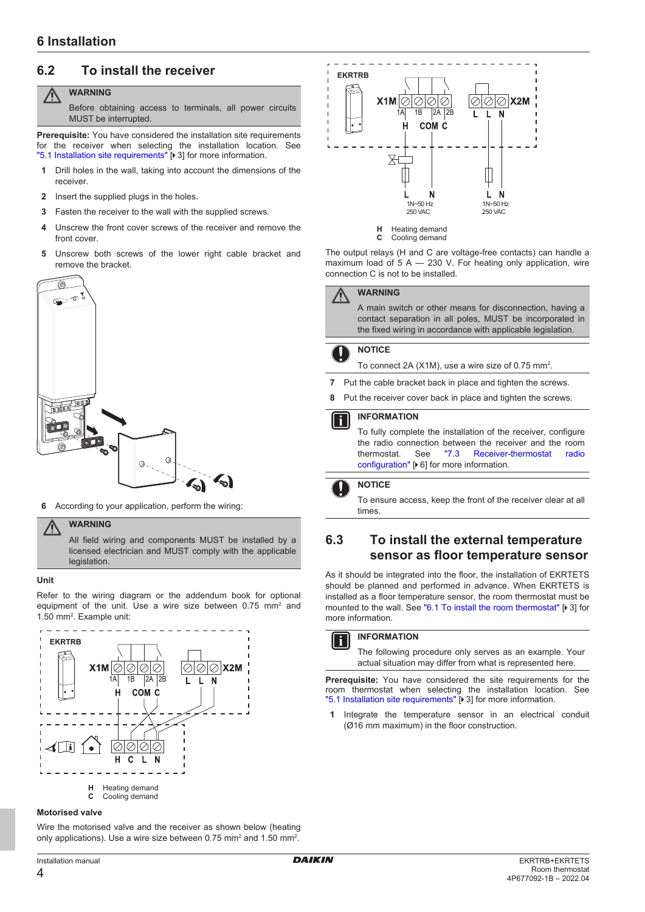# <span id="page-3-0"></span>**6.2 To install the receiver**

#### **WARNING** ΛN

Before obtaining access to terminals, all power circuits MUST be interrupted.

**Prerequisite:** You have considered the installation site requirements for the receiver when selecting the installation location. See ["5.1 Installation site requirements" \[](#page-2-1) [3\]](#page-2-1) for more information.

- **1** Drill holes in the wall, taking into account the dimensions of the receiver.
- **2** Insert the supplied plugs in the holes.
- **3** Fasten the receiver to the wall with the supplied screws.
- **4** Unscrew the front cover screws of the receiver and remove the front cover.
- **5** Unscrew both screws of the lower right cable bracket and remove the bracket.



**6** According to your application, perform the wiring:

#### **WARNING**

All field wiring and components MUST be installed by a licensed electrician and MUST comply with the applicable legislation.

#### **Unit**

Refer to the wiring diagram or the addendum book for optional equipment of the unit. Use a wire size between  $0.75$  mm<sup>2</sup> and 1.50 mm<sup>2</sup>. Example unit:



#### **Motorised valve**

Wire the motorised valve and the receiver as shown below (heating only applications). Use a wire size between 0.75 mm<sup>2</sup> and 1.50 mm<sup>2</sup>.



The output relays (H and C are voltage-free contacts) can handle a maximum load of  $5 A - 230 V$ . For heating only application, wire connection C is not to be installed.

#### **WARNING**

A main switch or other means for disconnection, having a contact separation in all poles, MUST be incorporated in the fixed wiring in accordance with applicable legislation.

#### **NOTICE**

To connect 2A (X1M), use a wire size of 0.75 mm<sup>2</sup>.

- **7** Put the cable bracket back in place and tighten the screws.
- **8** Put the receiver cover back in place and tighten the screws.

#### **INFORMATION**

To fully complete the installation of the receiver, configure the radio connection between the receiver and the room thermostat. See ["7.3](#page-5-0)  [Receiver-thermostat radio](#page-5-0) [configuration" \[](#page-5-0) $\triangleright$  [6\]](#page-5-0) for more information.

#### **NOTICE**

To ensure access, keep the front of the receiver clear at all times.

### <span id="page-3-1"></span>**6.3 To install the external temperature sensor as floor temperature sensor**

As it should be integrated into the floor, the installation of EKRTETS should be planned and performed in advance. When EKRTETS is installed as a floor temperature sensor, the room thermostat must be mounted to the wall. See ["6.1 To install the room thermostat" \[](#page-2-3)[4](#page-2-3)[3\]](#page-2-3) for more information.



#### **INFORMATION**

The following procedure only serves as an example. Your actual situation may differ from what is represented here.

**Prerequisite:** You have considered the site requirements for the room thermostat when selecting the installation location. See ["5.1 Installation site requirements" \[](#page-2-1)> [3\]](#page-2-1) for more information.

**1** Integrate the temperature sensor in an electrical conduit (Ø16 mm maximum) in the floor construction.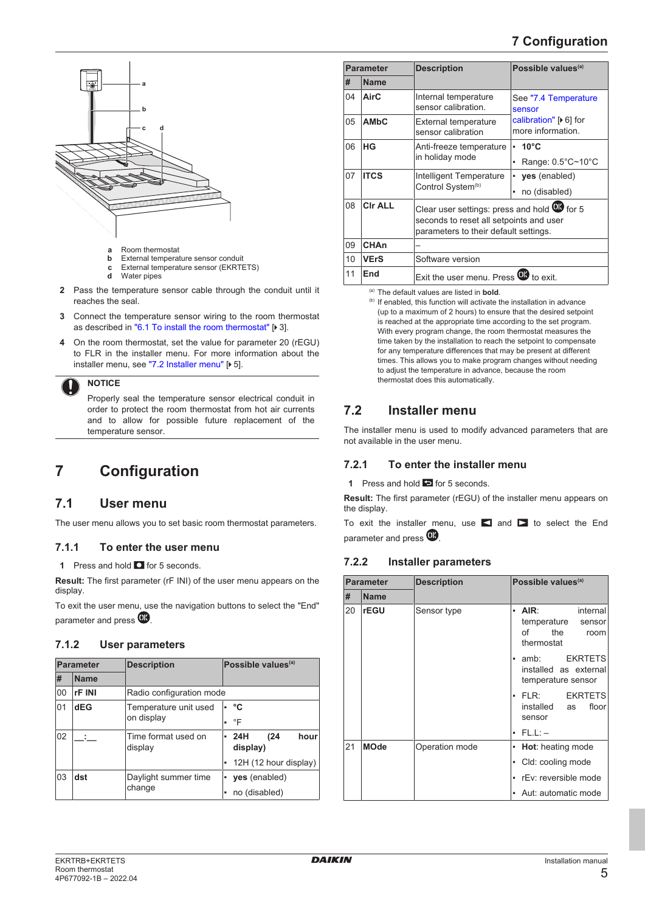# **7 Configuration**



- **a** Room thermostat<br>**b** External temperat
- **b** External temperature sensor conduit<br>**c** External temperature sensor (EKRTI
- **c** External temperature sensor (EKRTETS)<br>**d** Water pipes
- **d** Water pipes
- **2** Pass the temperature sensor cable through the conduit until it reaches the seal.
- **3** Connect the temperature sensor wiring to the room thermostat as described in ["6.1 To install the room thermostat" \[](#page-2-3) $\triangleright$  [3\].](#page-2-3)
- **4** On the room thermostat, set the value for parameter 20 (rEGU) to FLR in the installer menu. For more information about the installer menu, see ["7.2 Installer menu" \[](#page-4-4)> [5\]](#page-4-4).

**NOTICE**

Properly seal the temperature sensor electrical conduit in order to protect the room thermostat from hot air currents and to allow for possible future replacement of the temperature sensor.

# <span id="page-4-0"></span>**7 Configuration**

### <span id="page-4-1"></span>**7.1 User menu**

The user menu allows you to set basic room thermostat parameters.

#### <span id="page-4-2"></span>**7.1.1 To enter the user menu**

**1** Press and hold **Q** for 5 seconds.

**Result:** The first parameter (rF INI) of the user menu appears on the display.

To exit the user menu, use the navigation buttons to select the "End" parameter and press  $\mathbf{C}$ .

#### <span id="page-4-3"></span>**7.1.2 User parameters**

| <b>Parameter</b> |             | <b>Description</b>             |  | Possible values <sup>(a)</sup> |      |      |
|------------------|-------------|--------------------------------|--|--------------------------------|------|------|
| #                | <b>Name</b> |                                |  |                                |      |      |
| 00               | rF INI      | Radio configuration mode       |  |                                |      |      |
| 01               | dEG         | Temperature unit used          |  | - °C                           |      |      |
|                  |             | on display                     |  | $\cdot$ °F                     |      |      |
| 02               |             | Time format used on<br>display |  | • 24H<br>display)              | (24) | hour |
|                  |             |                                |  | 12H (12 hour display)          |      |      |
| 03               | dst         | Daylight summer time<br>change |  | yes (enabled)                  |      |      |
|                  |             |                                |  | no (disabled)                  |      |      |

| <b>Parameter</b> |                | <b>Description</b>                                                                                                              | Possible values <sup>(a)</sup>                            |  |
|------------------|----------------|---------------------------------------------------------------------------------------------------------------------------------|-----------------------------------------------------------|--|
| #                | <b>Name</b>    |                                                                                                                                 |                                                           |  |
| 04               | <b>AirC</b>    | Internal temperature<br>sensor calibration.                                                                                     | See "7.4 Temperature<br>sensor                            |  |
| 05               | <b>AMbC</b>    | External temperature<br>sensor calibration                                                                                      | calibration" $\triangleright$ 6] for<br>more information. |  |
| 06               | НG             | Anti-freeze temperature<br>in holiday mode                                                                                      | $-10^{\circ}$ C<br>Range: $0.5^{\circ}$ C~10°C            |  |
| 07               | <b>ITCS</b>    | Intelligent Temperature<br>Control System <sup>(b)</sup>                                                                        | yes (enabled)<br>٠<br>no (disabled)<br>٠                  |  |
| 08               | <b>CIr ALL</b> | Clear user settings: press and hold @ for 5<br>seconds to reset all setpoints and user<br>parameters to their default settings. |                                                           |  |
| 09               | <b>CHAn</b>    |                                                                                                                                 |                                                           |  |
| 10               | <b>VErS</b>    | Software version                                                                                                                |                                                           |  |
| 11               | End            | Exit the user menu. Press <b>OD</b> to exit.                                                                                    |                                                           |  |

(a) The default values are listed in **bold**.

 $<sup>(b)</sup>$  If enabled, this function will activate the installation in advance</sup> (up to a maximum of 2 hours) to ensure that the desired setpoint is reached at the appropriate time according to the set program. With every program change, the room thermostat measures the time taken by the installation to reach the setpoint to compensate for any temperature differences that may be present at different times. This allows you to make program changes without needing to adjust the temperature in advance, because the room thermostat does this automatically.

### <span id="page-4-4"></span>**7.2 Installer menu**

The installer menu is used to modify advanced parameters that are not available in the user menu.

#### <span id="page-4-5"></span>**7.2.1 To enter the installer menu**

**1** Press and hold **in** for 5 seconds.

**Result:** The first parameter (rEGU) of the installer menu appears on the display.

To exit the installer menu, use  $\blacksquare$  and  $\blacksquare$  to select the End parameter and press  $\overline{\textbf{00}}$ .

#### <span id="page-4-6"></span>**7.2.2 Installer parameters**

| <b>Parameter</b> |             | <b>Description</b> | Possible values <sup>(a)</sup>                                                                                                                                                                 |  |
|------------------|-------------|--------------------|------------------------------------------------------------------------------------------------------------------------------------------------------------------------------------------------|--|
| #                | <b>Name</b> |                    |                                                                                                                                                                                                |  |
| 20               | rEGU        | Sensor type        | AIR:<br>internal<br>٠<br>temperature<br>sensor<br>of<br>the<br>room<br>thermostat<br><b>EKRTETS</b><br>amb:<br>٠<br>installed as external<br>temperature sensor<br><b>EKRTETS</b><br>FLR:<br>٠ |  |
|                  |             |                    | installed<br>floor<br>as<br>sensor<br>$FL.L: -$                                                                                                                                                |  |
| 21               | <b>MOde</b> | Operation mode     | <b>Hot:</b> heating mode<br>۰<br>Cld: cooling mode<br>٠<br>rEv: reversible mode                                                                                                                |  |
|                  |             |                    | • Aut: automatic mode                                                                                                                                                                          |  |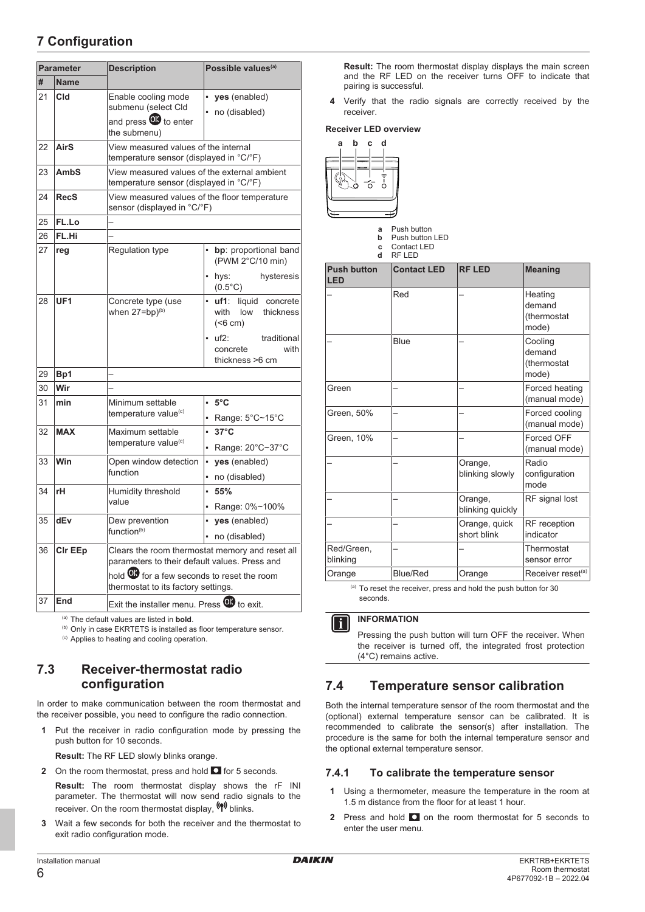# **7 Configuration**

| <b>Parameter</b> |                 | <b>Description</b>                                                                                                                                     | Possible values <sup>(a)</sup>                               |
|------------------|-----------------|--------------------------------------------------------------------------------------------------------------------------------------------------------|--------------------------------------------------------------|
| #<br><b>Name</b> |                 |                                                                                                                                                        |                                                              |
| 21               | Cld             | Enable cooling mode<br>submenu (select Cld<br>the submenu)                                                                                             | ×.<br>yes (enabled)<br>• no (disabled)                       |
| 22               | <b>AirS</b>     | View measured values of the internal<br>temperature sensor (displayed in °C/°F)                                                                        |                                                              |
| 23               | <b>AmbS</b>     | View measured values of the external ambient<br>temperature sensor (displayed in °C/°F)                                                                |                                                              |
| 24               | <b>RecS</b>     | View measured values of the floor temperature<br>sensor (displayed in °C/°F)                                                                           |                                                              |
| 25               | FL.Lo           |                                                                                                                                                        |                                                              |
| 26               | FL.Hi           |                                                                                                                                                        |                                                              |
| 27               | reg             | Regulation type                                                                                                                                        | bp: proportional band<br>(PWM 2°C/10 min)                    |
|                  |                 |                                                                                                                                                        | • hys:<br>hysteresis<br>$(0.5^{\circ}C)$                     |
| 28               | UF <sub>1</sub> | Concrete type (use<br>when $27 = bp)^{(b)}$                                                                                                            | liquid concrete<br>uf1:<br>with<br>low thickness<br>(< 6 cm) |
|                  |                 |                                                                                                                                                        | uf2:<br>traditional<br>with<br>concrete<br>thickness >6 cm   |
| 29               | Bp1             |                                                                                                                                                        |                                                              |
| 30               | Wir             |                                                                                                                                                        |                                                              |
| 31               | min             | Minimum settable                                                                                                                                       | ×,<br>$5^{\circ}$ C                                          |
|                  |                 | temperature value <sup>(c)</sup>                                                                                                                       | Range: 5°C~15°C                                              |
| 32               | <b>MAX</b>      | Maximum settable                                                                                                                                       | ä,<br>$37^{\circ}$ C                                         |
|                  |                 | temperature value <sup>(c)</sup>                                                                                                                       | Range: 20°C~37°C                                             |
| 33               | Win             | Open window detection                                                                                                                                  | ä,<br>yes (enabled)                                          |
|                  |                 | function                                                                                                                                               | no (disabled)                                                |
| 34               | rH              | Humidity threshold                                                                                                                                     | ä,<br>55%                                                    |
|                  |                 | value                                                                                                                                                  | Range: 0%~100%                                               |
| 35               | dEv             | Dew prevention                                                                                                                                         | yes (enabled)                                                |
|                  |                 | function <sup>(b)</sup>                                                                                                                                | no (disabled)                                                |
| 36               | Cir EEp         | Clears the room thermostat memory and reset all<br>parameters to their default values. Press and<br>hold <b>OD</b> for a few seconds to reset the room |                                                              |
|                  |                 | thermostat to its factory settings.                                                                                                                    |                                                              |
| 37               | End             | Exit the installer menu. Press @ to exit.                                                                                                              |                                                              |

(a) The default values are listed in **bold**.

(b) Only in case EKRTETS is installed as floor temperature sensor.

(c) Applies to heating and cooling operation.

### <span id="page-5-0"></span>**7.3 Receiver-thermostat radio configuration**

In order to make communication between the room thermostat and the receiver possible, you need to configure the radio connection.

**1** Put the receiver in radio configuration mode by pressing the push button for 10 seconds.

**Result:** The RF LED slowly blinks orange.

**2** On the room thermostat, press and hold  $\Box$  for 5 seconds.

**Result:** The room thermostat display shows the rF INI parameter. The thermostat will now send radio signals to the receiver. On the room thermostat display,  $(\phi)$  blinks.

**3** Wait a few seconds for both the receiver and the thermostat to exit radio configuration mode.

**Result:** The room thermostat display displays the main screen and the RF LED on the receiver turns OFF to indicate that pairing is successful.

**4** Verify that the radio signals are correctly received by the receiver.

#### **Receiver LED overview**



**a** Push button<br>**b** Push button **b** Push button LED **c** Contact LED **d** RF LED

| <b>Push button</b><br><b>LED</b> | <b>Contact LED</b> | <b>RF LED</b>                | <b>Meaning</b>                            |  |  |  |
|----------------------------------|--------------------|------------------------------|-------------------------------------------|--|--|--|
|                                  | Red                |                              | Heating<br>demand<br>(thermostat<br>mode) |  |  |  |
|                                  | Blue               |                              | Cooling<br>demand<br>(thermostat<br>mode) |  |  |  |
| Green                            |                    |                              | Forced heating<br>(manual mode)           |  |  |  |
| Green, 50%                       |                    |                              | Forced cooling<br>(manual mode)           |  |  |  |
| Green, 10%                       |                    |                              | Forced OFF<br>(manual mode)               |  |  |  |
|                                  |                    | Orange,<br>blinking slowly   | Radio<br>configuration<br>mode            |  |  |  |
|                                  |                    | Orange,<br>blinking quickly  | RF signal lost                            |  |  |  |
|                                  |                    | Orange, quick<br>short blink | RF reception<br>indicator                 |  |  |  |
| Red/Green,<br>blinking           |                    |                              | Thermostat<br>sensor error                |  |  |  |
| Orange                           | <b>Blue/Red</b>    | Orange                       | Receiver reset <sup>(a)</sup>             |  |  |  |

(a) To reset the receiver, press and hold the push button for 30 seconds.

#### **INFORMATION**  $\mathbf{i}$

Pressing the push button will turn OFF the receiver. When the receiver is turned off, the integrated frost protection (4°C) remains active.

# <span id="page-5-1"></span>**7.4 Temperature sensor calibration**

Both the internal temperature sensor of the room thermostat and the (optional) external temperature sensor can be calibrated. It is recommended to calibrate the sensor(s) after installation. The procedure is the same for both the internal temperature sensor and the optional external temperature sensor.

### <span id="page-5-2"></span>**7.4.1 To calibrate the temperature sensor**

- **1** Using a thermometer, measure the temperature in the room at 1.5 m distance from the floor for at least 1 hour.
- **2** Press and hold **O** on the room thermostat for 5 seconds to enter the user menu.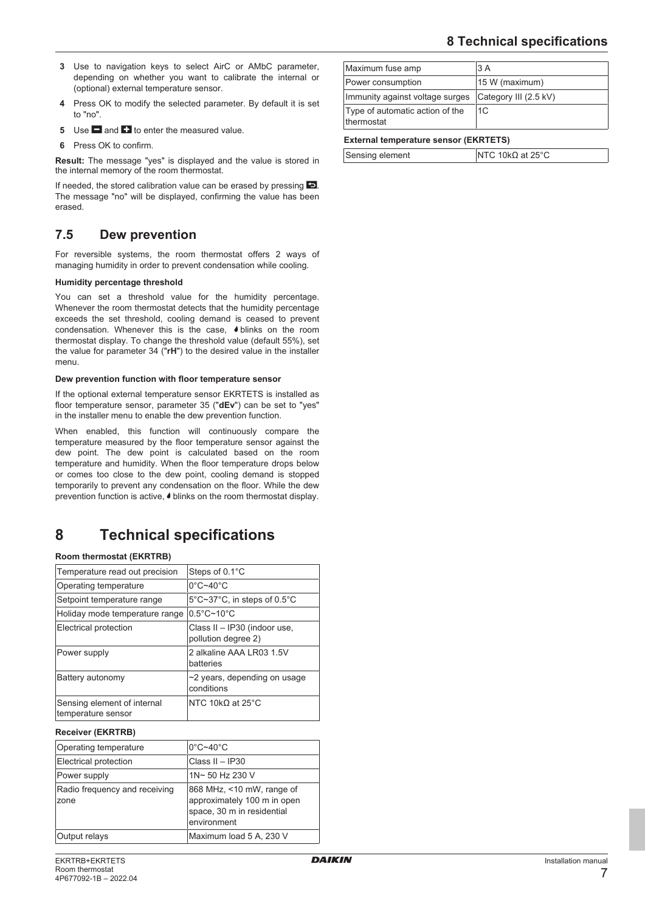- **3** Use to navigation keys to select AirC or AMbC parameter, depending on whether you want to calibrate the internal or (optional) external temperature sensor.
- **4** Press OK to modify the selected parameter. By default it is set to "no".
- **5** Use **a** and **th** to enter the measured value.
- **6** Press OK to confirm.

**Result:** The message "yes" is displayed and the value is stored in the internal memory of the room thermostat.

If needed, the stored calibration value can be erased by pressing  $\Box$ . The message "no" will be displayed, confirming the value has been erased.

# <span id="page-6-0"></span>**7.5 Dew prevention**

For reversible systems, the room thermostat offers 2 ways of managing humidity in order to prevent condensation while cooling.

#### **Humidity percentage threshold**

You can set a threshold value for the humidity percentage. Whenever the room thermostat detects that the humidity percentage exceeds the set threshold, cooling demand is ceased to prevent condensation. Whenever this is the case,  $\bullet$  blinks on the room thermostat display. To change the threshold value (default 55%), set the value for parameter 34 ("**rH**") to the desired value in the installer menu.

#### **Dew prevention function with floor temperature sensor**

If the optional external temperature sensor EKRTETS is installed as floor temperature sensor, parameter 35 ("**dEv**") can be set to "yes" in the installer menu to enable the dew prevention function.

When enabled, this function will continuously compare the temperature measured by the floor temperature sensor against the dew point. The dew point is calculated based on the room temperature and humidity. When the floor temperature drops below or comes too close to the dew point, cooling demand is stopped temporarily to prevent any condensation on the floor. While the dew prevention function is active, blinks on the room thermostat display.

# <span id="page-6-1"></span>**8 Technical specifications**

#### **Room thermostat (EKRTRB)**

| Temperature read out precision                    | Steps of 0.1°C                                      |
|---------------------------------------------------|-----------------------------------------------------|
| Operating temperature                             | $0^{\circ}$ C~40 $^{\circ}$ C                       |
| Setpoint temperature range                        | 5°C~37°C, in steps of 0.5°C                         |
| Holiday mode temperature range                    | $0.5^{\circ}$ C~10 $^{\circ}$ C                     |
| Electrical protection                             | Class II - IP30 (indoor use,<br>pollution degree 2) |
| Power supply                                      | 2 alkaline AAA LR03 1.5V<br>batteries               |
| Battery autonomy                                  | $\sim$ 2 years, depending on usage<br>conditions    |
| Sensing element of internal<br>temperature sensor | NTC 10 $k\Omega$ at 25 $^{\circ}$ C                 |

**Receiver (EKRTRB)**

| Operating temperature                 | $0^{\circ}$ C~40 $^{\circ}$ C                                                                         |
|---------------------------------------|-------------------------------------------------------------------------------------------------------|
| Electrical protection                 | Class $II - IP30$                                                                                     |
| Power supply                          | 1N~50 Hz 230 V                                                                                        |
| Radio frequency and receiving<br>zone | 868 MHz, <10 mW, range of<br>approximately 100 m in open<br>space, 30 m in residential<br>environment |
| Output relays                         | Maximum load 5 A, 230 V                                                                               |

| EKRTRB+EKRTETS        |
|-----------------------|
| Room thermostat       |
| 4P677092-1B - 2022.04 |

| Maximum fuse amp                              | 3 A                   |  |  |
|-----------------------------------------------|-----------------------|--|--|
| Power consumption                             | 15 W (maximum)        |  |  |
| Immunity against voltage surges               | Category III (2.5 kV) |  |  |
| Type of automatic action of the<br>thermostat | 1C                    |  |  |
| <b>External temperature sensor (EKRTETS)</b>  |                       |  |  |

| Sensing element | NTC 10k $\Omega$ at 25°C |
|-----------------|--------------------------|